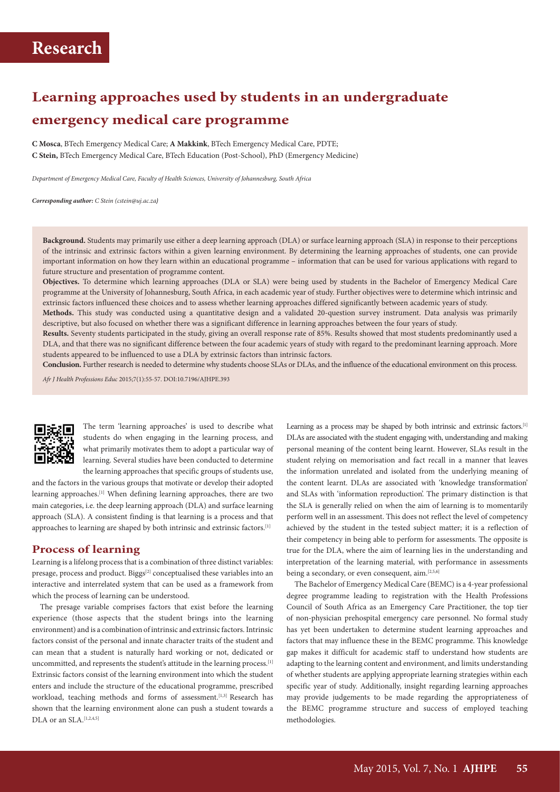# **Learning approaches used by students in an undergraduate emergency medical care programme**

**C Mosca**, BTech Emergency Medical Care; **A Makkink**, BTech Emergency Medical Care, PDTE; **C Stein,** BTech Emergency Medical Care, BTech Education (Post-School), PhD (Emergency Medicine)

*Department of Emergency Medical Care, Faculty of Health Sciences, University of Johannesburg, South Africa*

*Corresponding author: C Stein (cstein@uj.ac.za)*

**Background.** Students may primarily use either a deep learning approach (DLA) or surface learning approach (SLA) in response to their perceptions of the intrinsic and extrinsic factors within a given learning environment. By determining the learning approaches of students, one can provide important information on how they learn within an educational programme – information that can be used for various applications with regard to future structure and presentation of programme content.

**Objectives.** To determine which learning approaches (DLA or SLA) were being used by students in the Bachelor of Emergency Medical Care programme at the University of Johannesburg, South Africa, in each academic year of study. Further objectives were to determine which intrinsic and extrinsic factors influenced these choices and to assess whether learning approaches differed significantly between academic years of study.

**Methods.** This study was conducted using a quantitative design and a validated 20-question survey instrument. Data analysis was primarily descriptive, but also focused on whether there was a significant difference in learning approaches between the four years of study.

Results. Seventy students participated in the study, giving an overall response rate of 85%. Results showed that most students predominantly used a DLA, and that there was no significant difference between the four academic years of study with regard to the predominant learning approach. More students appeared to be influenced to use a DLA by extrinsic factors than intrinsic factors.

**Conclusion.** Further research is needed to determine why students choose SLAs or DLAs, and the influence of the educational environment on this process.

*Afr J Health Professions Educ* 2015;7(1):55-57. DOI:10.7196/AJHPE.393



The term 'learning approaches' is used to describe what students do when engaging in the learning process, and what primarily motivates them to adopt a particular way of learning. Several studies have been conducted to determine the learning approaches that specific groups of students use,

and the factors in the various groups that motivate or develop their adopted learning approaches.[1] When defining learning approaches, there are two main categories, i.e. the deep learning approach (DLA) and surface learning approach (SLA). A consistent finding is that learning is a process and that approaches to learning are shaped by both intrinsic and extrinsic factors.[1]

### **Process of learning**

Learning is a lifelong process that is a combination of three distinct variables: presage, process and product. Biggs<sup>[2]</sup> conceptualised these variables into an interactive and interrelated system that can be used as a framework from which the process of learning can be understood.

The presage variable comprises factors that exist before the learning experience (those aspects that the student brings into the learning environment) and is a combination of intrinsic and extrinsic factors. Intrinsic factors consist of the personal and innate character traits of the student and can mean that a student is naturally hard working or not, dedicated or uncommitted, and represents the student's attitude in the learning process.<sup>[1]</sup> Extrinsic factors consist of the learning environment into which the student enters and include the structure of the educational programme, prescribed workload, teaching methods and forms of assessment.<sup>[1,3]</sup> Research has shown that the learning environment alone can push a student towards a DLA or an SLA.<sup>[1,2,4,5]</sup>

Learning as a process may be shaped by both intrinsic and extrinsic factors.<sup>[1]</sup> DLAs are associated with the student engaging with, understanding and making personal meaning of the content being learnt. However, SLAs result in the student relying on memorisation and fact recall in a manner that leaves the information unrelated and isolated from the underlying meaning of the content learnt. DLAs are associated with 'knowledge transformation' and SLAs with 'information reproduction'. The primary distinction is that the SLA is generally relied on when the aim of learning is to momentarily perform well in an assessment. This does not reflect the level of competency achieved by the student in the tested subject matter; it is a reflection of their competency in being able to perform for assessments. The opposite is true for the DLA, where the aim of learning lies in the understanding and interpretation of the learning material, with performance in assessments being a secondary, or even consequent, aim.<sup>[2,5,6]</sup>

The Bachelor of Emergency Medical Care (BEMC) is a 4-year professional degree programme leading to registration with the Health Professions Council of South Africa as an Emergency Care Practitioner, the top tier of non-physician prehospital emergency care personnel. No formal study has yet been undertaken to determine student learning approaches and factors that may influence these in the BEMC programme. This knowledge gap makes it difficult for academic staff to understand how students are adapting to the learning content and environment, and limits understanding of whether students are applying appropriate learning strategies within each specific year of study. Additionally, insight regarding learning approaches may provide judgements to be made regarding the appropriateness of the BEMC programme structure and success of employed teaching methodologies.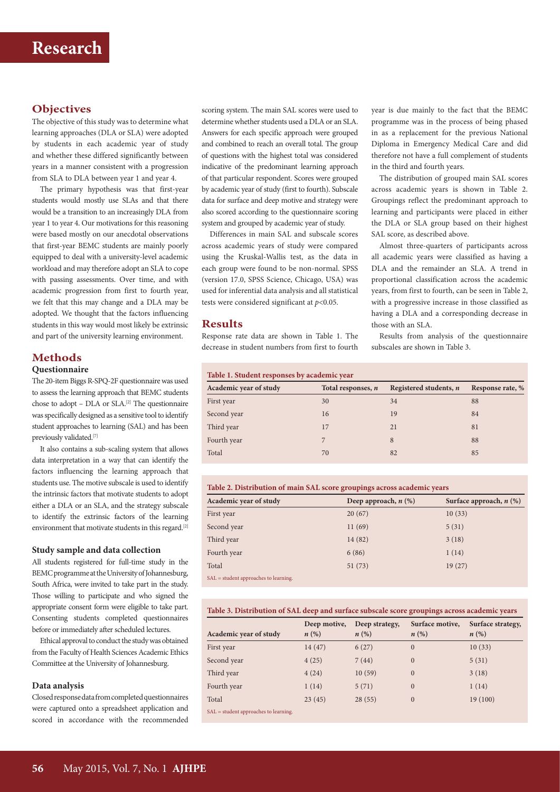## **Objectives**

The objective of this study was to determine what learning approaches (DLA or SLA) were adopted by students in each academic year of study and whether these differed significantly between years in a manner consistent with a progression from SLA to DLA between year 1 and year 4.

The primary hypothesis was that first-year students would mostly use SLAs and that there would be a transition to an increasingly DLA from year 1 to year 4. Our motivations for this reasoning were based mostly on our anecdotal observations that first-year BEMC students are mainly poorly equipped to deal with a university-level academic workload and may therefore adopt an SLA to cope with passing assessments. Over time, and with academic progression from first to fourth year, we felt that this may change and a DLA may be adopted. We thought that the factors influencing students in this way would most likely be extrinsic and part of the university learning environment.

## **Methods**

## **Questionnaire**

The 20-item Biggs R-SPQ-2F questionnaire was used to assess the learning approach that BEMC students chose to adopt – DLA or SLA.[2] The questionnaire was specifically designed as a sensitive tool to identify student approaches to learning (SAL) and has been previously validated.<sup>[7]</sup>

It also contains a sub-scaling system that allows data interpretation in a way that can identify the factors influencing the learning approach that students use. The motive subscale is used to identify the intrinsic factors that motivate students to adopt either a DLA or an SLA, and the strategy subscale to identify the extrinsic factors of the learning environment that motivate students in this regard.[2]

#### **Study sample and data collection**

All students registered for full-time study in the BEMC programme at the University of Johannesburg, South Africa, were invited to take part in the study. Those willing to participate and who signed the appropriate consent form were eligible to take part. Consenting students completed questionnaires before or immediately after scheduled lectures.

Ethical approval to conduct the study was obtained from the Faculty of Health Sciences Academic Ethics Committee at the University of Johannesburg.

#### **Data analysis**

Closed response data from completed questionnaires were captured onto a spreadsheet application and scored in accordance with the recommended

scoring system. The main SAL scores were used to determine whether students used a DLA or an SLA. Answers for each specific approach were grouped and combined to reach an overall total. The group of questions with the highest total was considered indicative of the predominant learning approach of that particular respondent. Scores were grouped by academic year of study (first to fourth). Subscale data for surface and deep motive and strategy were also scored according to the questionnaire scoring system and grouped by academic year of study.

Differences in main SAL and subscale scores across academic years of study were compared using the Kruskal-Wallis test, as the data in each group were found to be non-normal. SPSS (version 17.0, SPSS Science, Chicago, USA) was used for inferential data analysis and all statistical tests were considered significant at *p*<0.05.

## **Results**

Response rate data are shown in Table 1. The decrease in student numbers from first to fourth year is due mainly to the fact that the BEMC programme was in the process of being phased in as a replacement for the previous National Diploma in Emergency Medical Care and did therefore not have a full complement of students in the third and fourth years.

The distribution of grouped main SAL scores across academic years is shown in Table 2. Groupings reflect the predominant approach to learning and participants were placed in either the DLA or SLA group based on their highest SAL score, as described above.

Almost three-quarters of participants across all academic years were classified as having a DLA and the remainder an SLA. A trend in proportional classification across the academic years, from first to fourth, can be seen in Table 2, with a progressive increase in those classified as having a DLA and a corresponding decrease in those with an SLA.

Results from analysis of the questionnaire subscales are shown in Table 3.

| Table 1. Student responses by academic year |                    |                          |                  |  |
|---------------------------------------------|--------------------|--------------------------|------------------|--|
| Academic year of study                      | Total responses, n | Registered students, $n$ | Response rate, % |  |
| First year                                  | 30                 | 34                       | 88               |  |
| Second year                                 | 16                 | 19                       | 84               |  |
| Third year                                  | 17                 | 21                       | 81               |  |
| Fourth year                                 |                    | 8                        | 88               |  |
| Total                                       | 70                 | 82                       | 85               |  |
|                                             |                    |                          |                  |  |

| Table 2. Distribution of main SAL score groupings across academic years |  |  |
|-------------------------------------------------------------------------|--|--|
|-------------------------------------------------------------------------|--|--|

| Academic year of study                 | Deep approach, $n$ $(\%)$ | Surface approach, $n$ (%) |
|----------------------------------------|---------------------------|---------------------------|
| First year                             | 20(67)                    | 10(33)                    |
| Second year                            | 11(69)                    | 5(31)                     |
| Third year                             | 14(82)                    | 3(18)                     |
| Fourth year                            | 6(86)                     | 1(14)                     |
| Total                                  | 51(73)                    | 19(27)                    |
| $SAI = student approaches to learning$ |                           |                           |

SAL = student approaches to learning.

#### **Table 3. Distribution of SAL deep and surface subscale score groupings across academic years**

|                                         | Deep motive,       | Deep strategy, | Surface motive,    | Surface strategy,  |
|-----------------------------------------|--------------------|----------------|--------------------|--------------------|
| Academic year of study                  | $n\left(\%\right)$ | n(%)           | $n\left(\%\right)$ | $n\left(\%\right)$ |
| First year                              | 14(47)             | 6(27)          | $\mathbf{0}$       | 10(33)             |
| Second year                             | 4(25)              | 7(44)          | $\mathbf{0}$       | 5(31)              |
| Third year                              | 4(24)              | 10(59)         | $\mathbf{0}$       | 3(18)              |
| Fourth year                             | 1(14)              | 5(71)          | $\mathbf{0}$       | 1(14)              |
| Total                                   | 23(45)             | 28(55)         | $\mathbf{0}$       | 19(100)            |
| CAT and done comparable to be construc- |                    |                |                    |                    |

SAL = student approaches to learning.